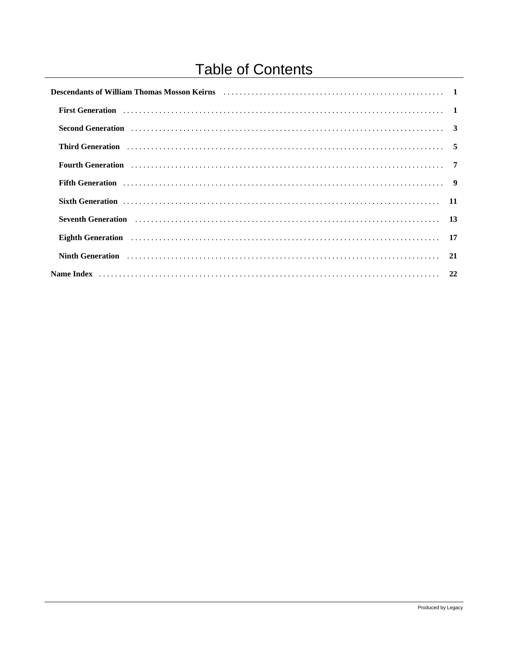# **Table of Contents**

| Descendants of William Thomas Mosson Keirns<br>1                                                                                                                                                                               |  |
|--------------------------------------------------------------------------------------------------------------------------------------------------------------------------------------------------------------------------------|--|
|                                                                                                                                                                                                                                |  |
| Second Generation (and according to the control of the control of the control of the control of the control of the control of the control of the control of the control of the control of the control of the control of the co |  |
| Third Generation (and the contract of the contract of the contract of the contract of the contract of the contract of the contract of the contract of the contract of the contract of the contract of the contract of the cont |  |
| Fourth Generation (1) Material Contract (1) Tourist Contract (1) Tourist Contract (1) Tourist Contract (1) Tourist Contract (1) Tourist Contract (1) Tourist Contract (1) Tourist Contract (1) Tourist Contract (1) Tourist Co |  |
| Fifth Generation (1) respectively. The contract of the contract of the contract of the contract of the contract of the contract of the contract of the contract of the contract of the contract of the contract of the contrac |  |
| Sixth Generation (and the contract of the contract of the contract of the contract of the contract of the contract of the contract of the contract of the contract of the contract of the contract of the contract of the cont |  |
| Seventh Generation (1996) contains the contract of the contract of the contract of the contract of the contract of the contract of the contract of the contract of the contract of the contract of the contract of the contrac |  |
| Eighth Generation (and the contract of the contract of the contract of the contract of the contract of the contract of the contract of the contract of the contract of the contract of the contract of the contract of the con |  |
| Ninth Generation (1) Contact the Contract of Contact and Contact and Contact and Contact and Contact and Contact and Contact and Contact and Contact and Contact and Contact and Contact and Contact and Contact and Contact a |  |
|                                                                                                                                                                                                                                |  |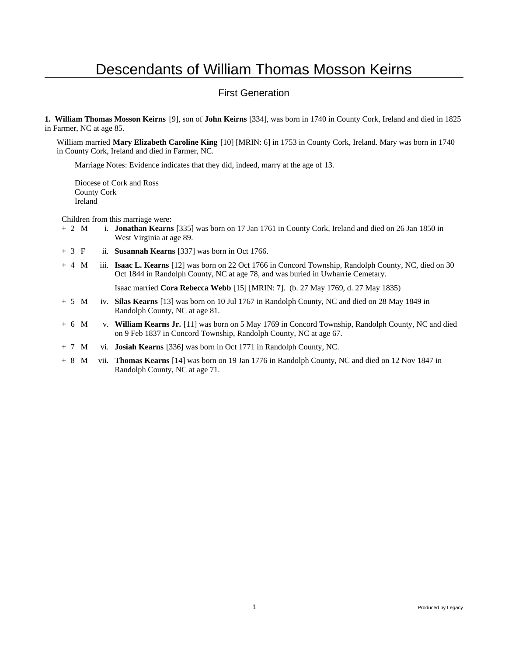#### First Generation

**1. William Thomas Mosson Keirns** [9], son of **John Keirns** [334], was born in 1740 in County Cork, Ireland and died in 1825 in Farmer, NC at age 85.

William married **Mary Elizabeth Caroline King** [10] [MRIN: 6] in 1753 in County Cork, Ireland. Mary was born in 1740 in County Cork, Ireland and died in Farmer, NC.

Marriage Notes: Evidence indicates that they did, indeed, marry at the age of 13.

Diocese of Cork and Ross County Cork Ireland

Children from this marriage were:

- + 2 M i. **Jonathan Kearns** [335] was born on 17 Jan 1761 in County Cork, Ireland and died on 26 Jan 1850 in West Virginia at age 89.
- + 3 F ii. **Susannah Kearns** [337] was born in Oct 1766.
- + 4 M iii. **Isaac L. Kearns** [12] was born on 22 Oct 1766 in Concord Township, Randolph County, NC, died on 30 Oct 1844 in Randolph County, NC at age 78, and was buried in Uwharrie Cemetary.

Isaac married **Cora Rebecca Webb** [15] [MRIN: 7]. (b. 27 May 1769, d. 27 May 1835)

- + 5 M iv. **Silas Kearns** [13] was born on 10 Jul 1767 in Randolph County, NC and died on 28 May 1849 in Randolph County, NC at age 81.
- + 6 M v. **William Kearns Jr.** [11] was born on 5 May 1769 in Concord Township, Randolph County, NC and died on 9 Feb 1837 in Concord Township, Randolph County, NC at age 67.
- + 7 M vi. **Josiah Kearns** [336] was born in Oct 1771 in Randolph County, NC.
- + 8 M vii. **Thomas Kearns** [14] was born on 19 Jan 1776 in Randolph County, NC and died on 12 Nov 1847 in Randolph County, NC at age 71.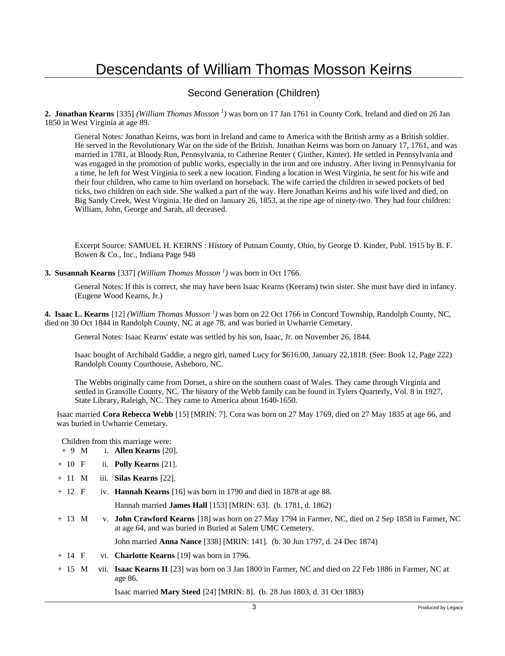#### Second Generation (Children)

**2. Jonathan Kearns** [335] *(William Thomas Mosson<sup>1</sup>)* was born on 17 Jan 1761 in County Cork, Ireland and died on 26 Jan 1850 in West Virginia at age 89.

General Notes: Jonathan Keirns, was born in Ireland and came to America with the British army as a British soldier. He served in the Revolutionary War on the side of the British. Jonathan Keirns was born on January 17, 1761, and was married in 1781, at Bloody Run, Pennsylvania, to Catherine Renter ( Ginther, Kinter). He settled in Pennsylvania and was engaged in the promotion of public works, especially in the iron and ore industry. After living in Pennsylvania for a time, he left for West Virginia to seek a new location. Finding a location in West Virginia, he sent for his wife and their four children, who came to him overland on horseback. The wife carried the children in sewed pockets of bed ticks, two children on each side. She walked a part of the way. Here Jonathan Keirns and his wife lived and died, on Big Sandy Creek, West Virginia. He died on January 26, 1853, at the ripe age of ninety-two. They had four children: William, John, George and Sarah, all deceased.

Excerpt Source: SAMUEL H. KEIRNS : History of Putnam County, Ohio, by George D. Kinder, Publ. 1915 by B. F. Bowen & Co., Inc., Indiana Page 948

**3. Susannah Kearns** [337] *(William Thomas Mosson<sup>1</sup>)* was born in Oct 1766.

General Notes: If this is correct, she may have been Isaac Kearns (Keerans) twin sister. She must have died in infancy. (Eugene Wood Kearns, Jr.)

**4. Isaac L. Kearns** [12] *(William Thomas Mosson<sup>1</sup>)* was born on 22 Oct 1766 in Concord Township, Randolph County, NC, died on 30 Oct 1844 in Randolph County, NC at age 78, and was buried in Uwharrie Cemetary.

General Notes: Isaac Kearns' estate was settled by his son, Isaac, Jr. on November 26, 1844.

Isaac bought of Archibald Gaddie, a negro girl, named Lucy for \$616.00, January 22,1818. (See: Book 12, Page 222) Randolph County Courthouse, Asheboro, NC.

The Webbs originally came from Dorset, a shire on the southern coast of Wales. They came through Virginia and settled in Granville County, NC. The history of the Webb family can be found in Tylers Quarterly, Vol. 8 in 1927, State Library, Raleigh, NC. They came to America about 1640-1650.

Isaac married **Cora Rebecca Webb** [15] [MRIN: 7]. Cora was born on 27 May 1769, died on 27 May 1835 at age 66, and was buried in Uwharrie Cemetary.

Children from this marriage were:

- + 9 M i. **Allen Kearns** [20].
- + 10 F ii. **Polly Kearns** [21].
- + 11 M iii. **Silas Kearns** [22].
- + 12 F iv. **Hannah Kearns** [16] was born in 1790 and died in 1878 at age 88.
	- Hannah married **James Hall** [153] [MRIN: 63]. (b. 1781, d. 1862)
- + 13 M v. **John Crawford Kearns** [18] was born on 27 May 1794 in Farmer, NC, died on 2 Sep 1858 in Farmer, NC at age 64, and was buried in Buried at Salem UMC Cemetery.

John married **Anna Nance** [338] [MRIN: 141]. (b. 30 Jun 1797, d. 24 Dec 1874)

- + 14 F vi. **Charlotte Kearns** [19] was born in 1796.
- + 15 M vii. **Isaac Kearns II** [23] was born on 3 Jan 1800 in Farmer, NC and died on 22 Feb 1886 in Farmer, NC at age 86.

Isaac married **Mary Steed** [24] [MRIN: 8]. (b. 28 Jun 1803, d. 31 Oct 1883)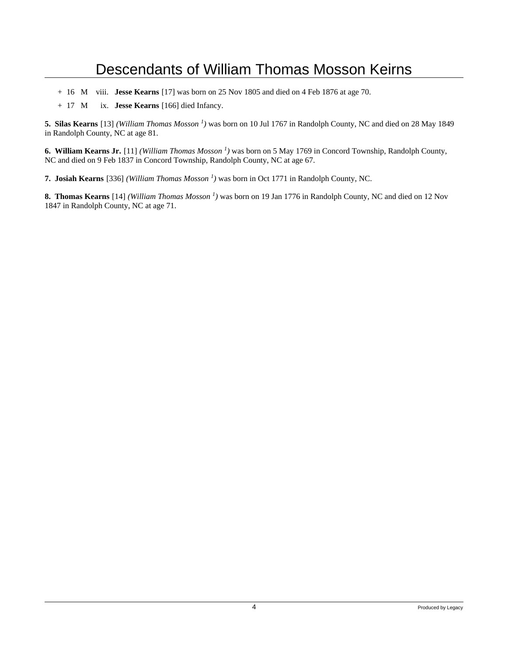- + 16 M viii. **Jesse Kearns** [17] was born on 25 Nov 1805 and died on 4 Feb 1876 at age 70.
- + 17 M ix. **Jesse Kearns** [166] died Infancy.

**5. Silas Kearns** [13] *(William Thomas Mosson<sup>1</sup>)* was born on 10 Jul 1767 in Randolph County, NC and died on 28 May 1849 in Randolph County, NC at age 81.

**6. William Kearns Jr.** [11] *(William Thomas Mosson<sup>1</sup>)* was born on 5 May 1769 in Concord Township, Randolph County, NC and died on 9 Feb 1837 in Concord Township, Randolph County, NC at age 67.

**7. Josiah Kearns** [336] *(William Thomas Mosson<sup>1</sup>)* was born in Oct 1771 in Randolph County, NC.

**8. Thomas Kearns** [14] *(William Thomas Mosson<sup>1</sup>)* was born on 19 Jan 1776 in Randolph County, NC and died on 12 Nov 1847 in Randolph County, NC at age 71.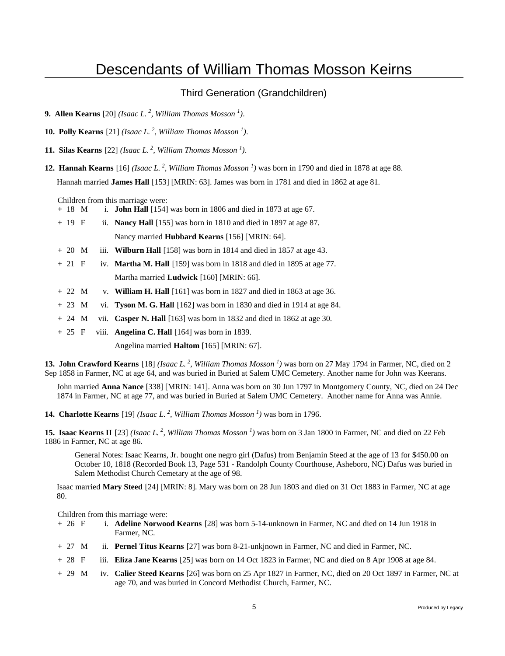#### Third Generation (Grandchildren)

- **9. Allen Kearns** [20] *(Isaac L.<sup>2</sup>, William Thomas Mosson<sup>1</sup>)*.
- **10. Polly Kearns** [21] *(Isaac L.<sup>2</sup>, William Thomas Mosson<sup>1</sup>)*.
- **11. Silas Kearns** [22] *(Isaac L.<sup>2</sup>, William Thomas Mosson<sup>1</sup>)*.
- **12. Hannah Kearns** [16] *(Isaac L.<sup>2</sup>, William Thomas Mosson<sup>1</sup>)* was born in 1790 and died in 1878 at age 88. Hannah married **James Hall** [153] [MRIN: 63]. James was born in 1781 and died in 1862 at age 81.

Children from this marriage were:

- + 18 M i. **John Hall** [154] was born in 1806 and died in 1873 at age 67.
- + 19 F ii. **Nancy Hall** [155] was born in 1810 and died in 1897 at age 87. Nancy married **Hubbard Kearns** [156] [MRIN: 64].
- $+ 20 \, \text{M}$  iii. **Wilburn Hall** [158] was born in 1814 and died in 1857 at age 43.
- + 21 F iv. **Martha M. Hall** [159] was born in 1818 and died in 1895 at age 77. Martha married **Ludwick** [160] [MRIN: 66].
- $+ 22$  M v. **William H. Hall** [161] was born in 1827 and died in 1863 at age 36.
- + 23 M vi. **Tyson M. G. Hall** [162] was born in 1830 and died in 1914 at age 84.
- + 24 M vii. **Casper N. Hall** [163] was born in 1832 and died in 1862 at age 30.
- + 25 F viii. **Angelina C. Hall** [164] was born in 1839.

Angelina married **Haltom** [165] [MRIN: 67].

**13. John Crawford Kearns** [18] *(Isaac L.<sup>2</sup>, William Thomas Mosson<sup>1</sup>)* was born on 27 May 1794 in Farmer, NC, died on 2 Sep 1858 in Farmer, NC at age 64, and was buried in Buried at Salem UMC Cemetery. Another name for John was Keerans.

John married **Anna Nance** [338] [MRIN: 141]. Anna was born on 30 Jun 1797 in Montgomery County, NC, died on 24 Dec 1874 in Farmer, NC at age 77, and was buried in Buried at Salem UMC Cemetery. Another name for Anna was Annie.

**14. Charlotte Kearns** [19] *(Isaac L.<sup>2</sup>, William Thomas Mosson<sup>1</sup>)* was born in 1796.

**15. Isaac Kearns II** [23] *(Isaac L.<sup>2</sup>, William Thomas Mosson<sup>1</sup>)* was born on 3 Jan 1800 in Farmer, NC and died on 22 Feb 1886 in Farmer, NC at age 86.

General Notes: Isaac Kearns, Jr. bought one negro girl (Dafus) from Benjamin Steed at the age of 13 for \$450.00 on October 10, 1818 (Recorded Book 13, Page 531 - Randolph County Courthouse, Asheboro, NC) Dafus was buried in Salem Methodist Church Cemetary at the age of 98.

Isaac married **Mary Steed** [24] [MRIN: 8]. Mary was born on 28 Jun 1803 and died on 31 Oct 1883 in Farmer, NC at age 80.

Children from this marriage were:

- + 26 F i. **Adeline Norwood Kearns** [28] was born 5-14-unknown in Farmer, NC and died on 14 Jun 1918 in Farmer, NC.
- + 27 M ii. **Pernel Titus Kearns** [27] was born 8-21-unkjnown in Farmer, NC and died in Farmer, NC.
- + 28 F iii. **Eliza Jane Kearns** [25] was born on 14 Oct 1823 in Farmer, NC and died on 8 Apr 1908 at age 84.
- + 29 M iv. **Calier Steed Kearns** [26] was born on 25 Apr 1827 in Farmer, NC, died on 20 Oct 1897 in Farmer, NC at age 70, and was buried in Concord Methodist Church, Farmer, NC.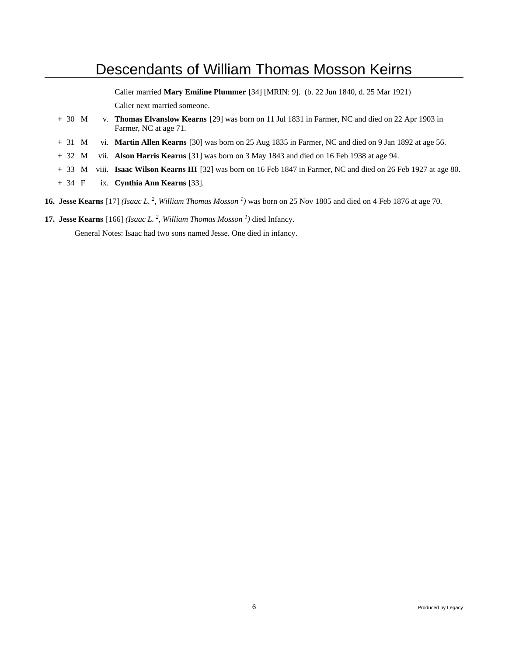Calier married **Mary Emiline Plummer** [34] [MRIN: 9]. (b. 22 Jun 1840, d. 25 Mar 1921) Calier next married someone.

- + 30 M v. **Thomas Elvanslow Kearns** [29] was born on 11 Jul 1831 in Farmer, NC and died on 22 Apr 1903 in Farmer, NC at age 71.
- + 31 M vi. **Martin Allen Kearns** [30] was born on 25 Aug 1835 in Farmer, NC and died on 9 Jan 1892 at age 56.
- + 32 M vii. **Alson Harris Kearns** [31] was born on 3 May 1843 and died on 16 Feb 1938 at age 94.
- + 33 M viii. **Isaac Wilson Kearns III** [32] was born on 16 Feb 1847 in Farmer, NC and died on 26 Feb 1927 at age 80.
- + 34 F ix. **Cynthia Ann Kearns** [33].
- **16. Jesse Kearns** [17] *(Isaac L.<sup>2</sup>, William Thomas Mosson<sup>1</sup>)* was born on 25 Nov 1805 and died on 4 Feb 1876 at age 70.
- **17. Jesse Kearns** [166] *(Isaac L.<sup>2</sup>, William Thomas Mosson<sup>1</sup>)* died Infancy.

General Notes: Isaac had two sons named Jesse. One died in infancy.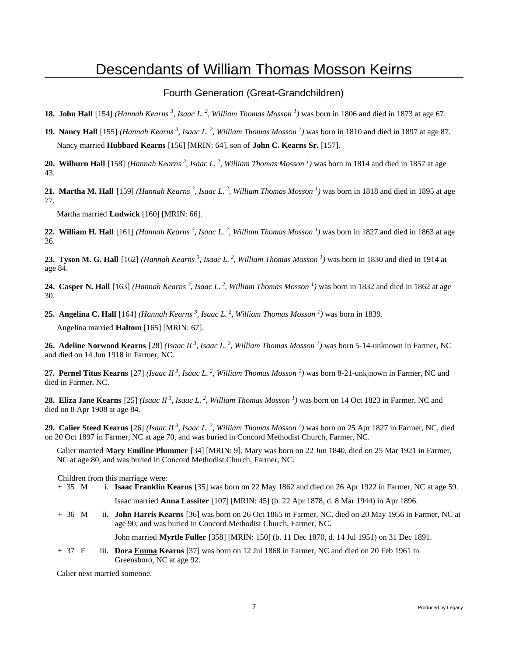#### Fourth Generation (Great-Grandchildren)

- **18. John Hall** [154] *(Hannah Kearns<sup>3</sup>, Isaac L.<sup>2</sup>, William Thomas Mosson<sup>1</sup>)* was born in 1806 and died in 1873 at age 67.
- **19. Nancy Hall** [155] *(Hannah Kearns<sup>3</sup>, Isaac L.<sup>2</sup>, William Thomas Mosson<sup>1</sup>)* was born in 1810 and died in 1897 at age 87. Nancy married **Hubbard Kearns** [156] [MRIN: 64], son of **John C. Kearns Sr.** [157].

**20. Wilburn Hall** [158] *(Hannah Kearns<sup>3</sup>, Isaac L.<sup>2</sup>, William Thomas Mosson<sup>1</sup>)* was born in 1814 and died in 1857 at age 43.

**21. Martha M. Hall** [159] *(Hannah Kearns<sup>3</sup>, Isaac L.<sup>2</sup>, William Thomas Mosson<sup>1</sup>)* was born in 1818 and died in 1895 at age 77.

Martha married **Ludwick** [160] [MRIN: 66].

**22. William H. Hall** [161] *(Hannah Kearns<sup>3</sup>, Isaac L.<sup>2</sup>, William Thomas Mosson<sup>1</sup>)* was born in 1827 and died in 1863 at age 36.

**23. Tyson M. G. Hall** [162] *(Hannah Kearns<sup>3</sup>, Isaac L.<sup>2</sup>, William Thomas Mosson<sup>1</sup>)* was born in 1830 and died in 1914 at age 84.

**24. Casper N. Hall** [163] *(Hannah Kearns<sup>3</sup>, Isaac L.<sup>2</sup>, William Thomas Mosson<sup>1</sup>)* was born in 1832 and died in 1862 at age 30.

**25. Angelina C. Hall** [164] *(Hannah Kearns<sup>3</sup>, Isaac L.<sup>2</sup>, William Thomas Mosson<sup>1</sup>)* was born in 1839. Angelina married **Haltom** [165] [MRIN: 67].

**26. Adeline Norwood Kearns** [28] *(Isaac II<sup>3</sup>, Isaac L.<sup>2</sup>, William Thomas Mosson<sup>1</sup>)* was born 5-14-unknown in Farmer, NC and died on 14 Jun 1918 in Farmer, NC.

**27. Pernel Titus Kearns** [27] *(Isaac II<sup>3</sup>, Isaac L.<sup>2</sup>, William Thomas Mosson<sup>1</sup>)* was born 8-21-unkjnown in Farmer, NC and died in Farmer, NC.

**28. Eliza Jane Kearns** [25] *(Isaac II<sup>3</sup>, Isaac L.<sup>2</sup>, William Thomas Mosson<sup>1</sup>)* was born on 14 Oct 1823 in Farmer, NC and died on 8 Apr 1908 at age 84.

**29. Calier Steed Kearns** [26] *(Isaac II<sup>3</sup>, Isaac L.<sup>2</sup>, William Thomas Mosson<sup>1</sup>)* was born on 25 Apr 1827 in Farmer, NC, died on 20 Oct 1897 in Farmer, NC at age 70, and was buried in Concord Methodist Church, Farmer, NC.

Calier married **Mary Emiline Plummer** [34] [MRIN: 9]. Mary was born on 22 Jun 1840, died on 25 Mar 1921 in Farmer, NC at age 80, and was buried in Concord Methodist Church, Farmer, NC.

Children from this marriage were:

- + 35 M i. **Isaac Franklin Kearns** [35] was born on 22 May 1862 and died on 26 Apr 1922 in Farmer, NC at age 59. Isaac married **Anna Lassiter** [107] [MRIN: 45] (b. 22 Apr 1878, d. 8 Mar 1944) in Apr 1896.
- + 36 M ii. **John Harris Kearns** [36] was born on 26 Oct 1865 in Farmer, NC, died on 20 May 1956 in Farmer, NC at age 90, and was buried in Concord Methodist Church, Farmer, NC.

John married **Myrtle Fuller** [358] [MRIN: 150] (b. 11 Dec 1870, d. 14 Jul 1951) on 31 Dec 1891.

+ 37 F iii. **Dora Emma Kearns** [37] was born on 12 Jul 1868 in Farmer, NC and died on 20 Feb 1961 in Greensboro, NC at age 92.

Calier next married someone.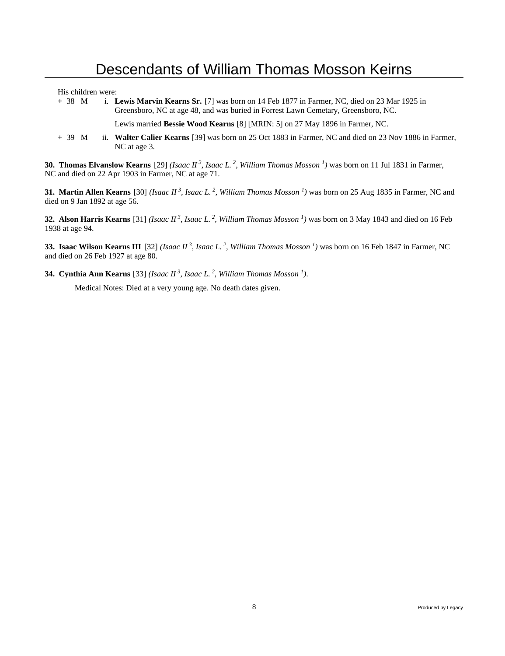His children were:

+ 38 M i. **Lewis Marvin Kearns Sr.** [7] was born on 14 Feb 1877 in Farmer, NC, died on 23 Mar 1925 in Greensboro, NC at age 48, and was buried in Forrest Lawn Cemetary, Greensboro, NC.

Lewis married **Bessie Wood Kearns** [8] [MRIN: 5] on 27 May 1896 in Farmer, NC.

+ 39 M ii. **Walter Calier Kearns** [39] was born on 25 Oct 1883 in Farmer, NC and died on 23 Nov 1886 in Farmer, NC at age 3.

**30. Thomas Elvanslow Kearns** [29] *(Isaac II<sup>3</sup>, Isaac L.<sup>2</sup>, William Thomas Mosson<sup>1</sup>)* was born on 11 Jul 1831 in Farmer, NC and died on 22 Apr 1903 in Farmer, NC at age 71.

**31. Martin Allen Kearns** [30] *(Isaac II<sup>3</sup>, Isaac L.<sup>2</sup>, William Thomas Mosson<sup>1</sup>)* was born on 25 Aug 1835 in Farmer, NC and died on 9 Jan 1892 at age 56.

**32. Alson Harris Kearns** [31] *(Isaac II<sup>3</sup>, Isaac L.<sup>2</sup>, William Thomas Mosson<sup>1</sup>)* was born on 3 May 1843 and died on 16 Feb 1938 at age 94.

**33. Isaac Wilson Kearns III** [32] *(Isaac II<sup>3</sup>, Isaac L.<sup>2</sup>, William Thomas Mosson<sup>1</sup>)* was born on 16 Feb 1847 in Farmer, NC and died on 26 Feb 1927 at age 80.

**34. Cynthia Ann Kearns** [33] *(Isaac II<sup>3</sup>, Isaac L.<sup>2</sup>, William Thomas Mosson<sup>1</sup>)*.

Medical Notes: Died at a very young age. No death dates given.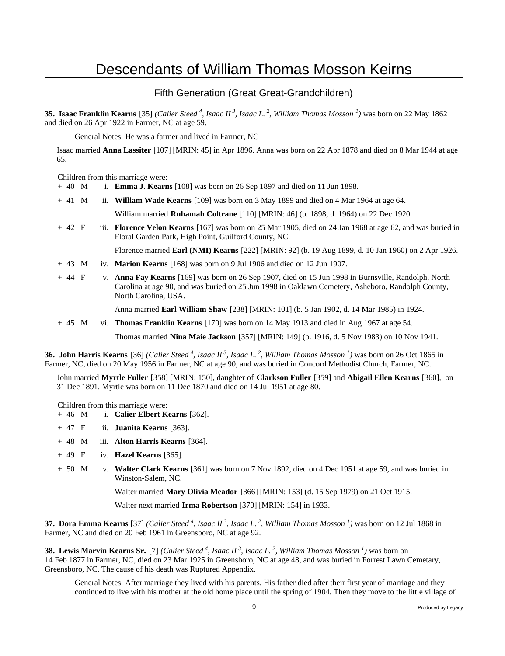#### Fifth Generation (Great Great-Grandchildren)

**35. Isaac Franklin Kearns** [35] *(Calier Steed<sup>4</sup>, Isaac II<sup>3</sup>, Isaac L.<sup>2</sup>, William Thomas Mosson<sup>1</sup>)* was born on 22 May 1862 and died on 26 Apr 1922 in Farmer, NC at age 59.

General Notes: He was a farmer and lived in Farmer, NC

Isaac married **Anna Lassiter** [107] [MRIN: 45] in Apr 1896. Anna was born on 22 Apr 1878 and died on 8 Mar 1944 at age 65.

Children from this marriage were:

- + 40 M i. **Emma J. Kearns** [108] was born on 26 Sep 1897 and died on 11 Jun 1898.
- + 41 M ii. **William Wade Kearns** [109] was born on 3 May 1899 and died on 4 Mar 1964 at age 64.

William married **Ruhamah Coltrane** [110] [MRIN: 46] (b. 1898, d. 1964) on 22 Dec 1920.

+ 42 F iii. **Florence Velon Kearns** [167] was born on 25 Mar 1905, died on 24 Jan 1968 at age 62, and was buried in Floral Garden Park, High Point, Guilford County, NC.

Florence married **Earl (NMI) Kearns** [222] [MRIN: 92] (b. 19 Aug 1899, d. 10 Jan 1960) on 2 Apr 1926.

- + 43 M iv. **Marion Kearns** [168] was born on 9 Jul 1906 and died on 12 Jun 1907.
- + 44 F v. **Anna Fay Kearns** [169] was born on 26 Sep 1907, died on 15 Jun 1998 in Burnsville, Randolph, North Carolina at age 90, and was buried on 25 Jun 1998 in Oaklawn Cemetery, Asheboro, Randolph County, North Carolina, USA.

Anna married **Earl William Shaw** [238] [MRIN: 101] (b. 5 Jan 1902, d. 14 Mar 1985) in 1924.

+ 45 M vi. **Thomas Franklin Kearns** [170] was born on 14 May 1913 and died in Aug 1967 at age 54.

Thomas married **Nina Maie Jackson** [357] [MRIN: 149] (b. 1916, d. 5 Nov 1983) on 10 Nov 1941.

**36. John Harris Kearns** [36] *(Calier Steed<sup>4</sup>, Isaac II<sup>3</sup>, Isaac L.<sup>2</sup>, William Thomas Mosson<sup>1</sup>)* was born on 26 Oct 1865 in Farmer, NC, died on 20 May 1956 in Farmer, NC at age 90, and was buried in Concord Methodist Church, Farmer, NC.

John married **Myrtle Fuller** [358] [MRIN: 150], daughter of **Clarkson Fuller** [359] and **Abigail Ellen Kearns** [360], on 31 Dec 1891. Myrtle was born on 11 Dec 1870 and died on 14 Jul 1951 at age 80.

Children from this marriage were:

- + 46 M i. **Calier Elbert Kearns** [362].
- + 47 F ii. **Juanita Kearns** [363].
- + 48 M iii. **Alton Harris Kearns** [364].
- + 49 F iv. **Hazel Kearns** [365].
- + 50 M v. **Walter Clark Kearns** [361] was born on 7 Nov 1892, died on 4 Dec 1951 at age 59, and was buried in Winston-Salem, NC.

Walter married **Mary Olivia Meador** [366] [MRIN: 153] (d. 15 Sep 1979) on 21 Oct 1915.

Walter next married **Irma Robertson** [370] [MRIN: 154] in 1933.

**37. Dora Emma Kearns** [37] *(Calier Steed<sup>4</sup>, Isaac II<sup>3</sup>, Isaac L.<sup>2</sup>, William Thomas Mosson<sup>1</sup>)* was born on 12 Jul 1868 in Farmer, NC and died on 20 Feb 1961 in Greensboro, NC at age 92.

**38. Lewis Marvin Kearns Sr.** [7] *(Calier Steed<sup>4</sup>, Isaac II<sup>3</sup>, Isaac L.<sup>2</sup>, William Thomas Mosson<sup>1</sup>)* was born on 14 Feb 1877 in Farmer, NC, died on 23 Mar 1925 in Greensboro, NC at age 48, and was buried in Forrest Lawn Cemetary, Greensboro, NC. The cause of his death was Ruptured Appendix.

General Notes: After marriage they lived with his parents. His father died after their first year of marriage and they continued to live with his mother at the old home place until the spring of 1904. Then they move to the little village of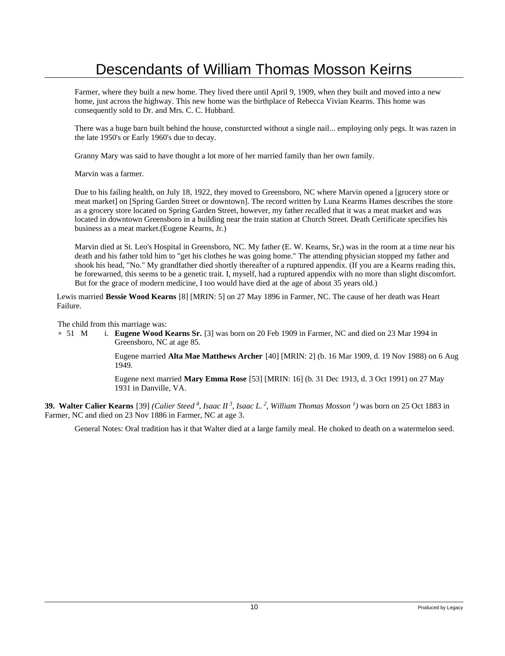Farmer, where they built a new home. They lived there until April 9, 1909, when they built and moved into a new home, just across the highway. This new home was the birthplace of Rebecca Vivian Kearns. This home was consequently sold to Dr. and Mrs. C. C. Hubbard.

There was a huge barn built behind the house, consturcted without a single nail... employing only pegs. It was razen in the late 1950's or Early 1960's due to decay.

Granny Mary was said to have thought a lot more of her married family than her own family.

Marvin was a farmer.

Due to his failing health, on July 18, 1922, they moved to Greensboro, NC where Marvin opened a [grocery store or meat market] on [Spring Garden Street or downtown]. The record written by Luna Kearms Hames describes the store as a grocery store located on Spring Garden Street, however, my father recalled that it was a meat market and was located in downtown Greensboro in a building near the train station at Church Street. Death Certificate specifies his business as a meat market.(Eugene Kearns, Jr.)

Marvin died at St. Leo's Hospital in Greensboro, NC. My father (E. W. Kearns, Sr,) was in the room at a time near his death and his father told him to "get his clothes he was going home." The attending physician stopped my father and shook his head, "No." My grandfather died shortly thereafter of a ruptured appendix. (If you are a Kearns reading this, be forewarned, this seems to be a genetic trait. I, myself, had a ruptured appendix with no more than slight discomfort. But for the grace of modern medicine, I too would have died at the age of about 35 years old.)

Lewis married **Bessie Wood Kearns** [8] [MRIN: 5] on 27 May 1896 in Farmer, NC. The cause of her death was Heart Failure.

The child from this marriage was:

+ 51 M i. **Eugene Wood Kearns Sr.** [3] was born on 20 Feb 1909 in Farmer, NC and died on 23 Mar 1994 in Greensboro, NC at age 85.

> Eugene married **Alta Mae Matthews Archer** [40] [MRIN: 2] (b. 16 Mar 1909, d. 19 Nov 1988) on 6 Aug 1949.

Eugene next married **Mary Emma Rose** [53] [MRIN: 16] (b. 31 Dec 1913, d. 3 Oct 1991) on 27 May 1931 in Danville, VA.

**39. Walter Calier Kearns** [39] *(Calier Steed<sup>4</sup>, Isaac II<sup>3</sup>, Isaac L.<sup>2</sup>, William Thomas Mosson<sup>1</sup>)* was born on 25 Oct 1883 in Farmer, NC and died on 23 Nov 1886 in Farmer, NC at age 3.

General Notes: Oral tradition has it that Walter died at a large family meal. He choked to death on a watermelon seed.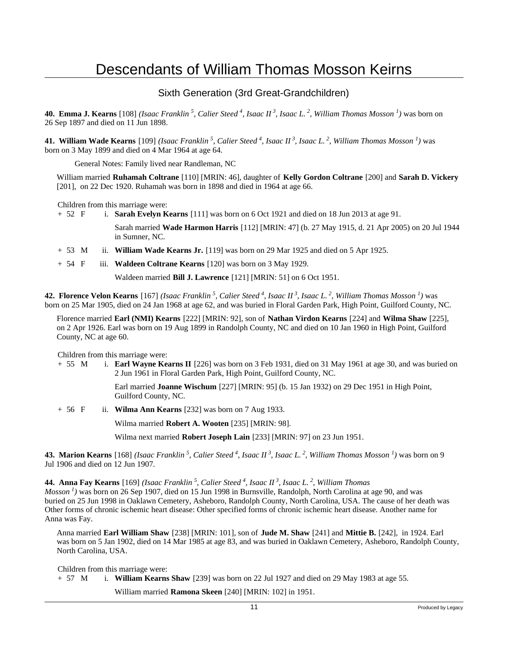#### Sixth Generation (3rd Great-Grandchildren)

**40. Emma J. Kearns** [108] *(Isaac Franklin<sup>5</sup>, Calier Steed<sup>4</sup>, Isaac II<sup>3</sup>, Isaac L.<sup>2</sup>, William Thomas Mosson<sup>1</sup>)* was born on 26 Sep 1897 and died on 11 Jun 1898.

**41. William Wade Kearns** [109] *(Isaac Franklin<sup>5</sup>, Calier Steed<sup>4</sup>, Isaac II<sup>3</sup>, Isaac L.<sup>2</sup>, William Thomas Mosson<sup>1</sup>)* was born on 3 May 1899 and died on 4 Mar 1964 at age 64.

General Notes: Family lived near Randleman, NC

William married **Ruhamah Coltrane** [110] [MRIN: 46], daughter of **Kelly Gordon Coltrane** [200] and **Sarah D. Vickery** [201], on 22 Dec 1920. Ruhamah was born in 1898 and died in 1964 at age 66.

Children from this marriage were:<br>+  $52 \text{ F}$  i. **Sarah Evelvn K** 

i. **Sarah Evelyn Kearns** [111] was born on 6 Oct 1921 and died on 18 Jun 2013 at age 91.

Sarah married **Wade Harmon Harris** [112] [MRIN: 47] (b. 27 May 1915, d. 21 Apr 2005) on 20 Jul 1944 in Sumner, NC.

- + 53 M ii. **William Wade Kearns Jr.** [119] was born on 29 Mar 1925 and died on 5 Apr 1925.
- + 54 F iii. **Waldeen Coltrane Kearns** [120] was born on 3 May 1929.

Waldeen married **Bill J. Lawrence** [121] [MRIN: 51] on 6 Oct 1951.

**42. Florence Velon Kearns** [167] *(Isaac Franklin<sup>5</sup>, Calier Steed<sup>4</sup>, Isaac II<sup>3</sup>, Isaac L.<sup>2</sup>, William Thomas Mosson<sup>1</sup>)* was born on 25 Mar 1905, died on 24 Jan 1968 at age 62, and was buried in Floral Garden Park, High Point, Guilford County, NC.

Florence married **Earl (NMI) Kearns** [222] [MRIN: 92], son of **Nathan Virdon Kearns** [224] and **Wilma Shaw** [225], on 2 Apr 1926. Earl was born on 19 Aug 1899 in Randolph County, NC and died on 10 Jan 1960 in High Point, Guilford County, NC at age 60.

Children from this marriage were:

+ 55 M i. **Earl Wayne Kearns II** [226] was born on 3 Feb 1931, died on 31 May 1961 at age 30, and was buried on 2 Jun 1961 in Floral Garden Park, High Point, Guilford County, NC.

> Earl married **Joanne Wischum** [227] [MRIN: 95] (b. 15 Jan 1932) on 29 Dec 1951 in High Point, Guilford County, NC.

+ 56 F ii. **Wilma Ann Kearns** [232] was born on 7 Aug 1933.

Wilma married **Robert A. Wooten** [235] [MRIN: 98].

Wilma next married **Robert Joseph Lain** [233] [MRIN: 97] on 23 Jun 1951.

**43. Marion Kearns** [168] *(Isaac Franklin<sup>5</sup>, Calier Steed<sup>4</sup>, Isaac II<sup>3</sup>, Isaac L.<sup>2</sup>, William Thomas Mosson<sup>1</sup>)* was born on 9 Jul 1906 and died on 12 Jun 1907.

**44. Anna Fay Kearns** [169] *(Isaac Franklin<sup>5</sup>, Calier Steed<sup>4</sup>, Isaac II<sup>3</sup>, Isaac L.<sup>2</sup>, William Thomas Mosson<sup>1</sup>)* was born on 26 Sep 1907, died on 15 Jun 1998 in Burnsville, Randolph, North Carolina at age 90, and was buried on 25 Jun 1998 in Oaklawn Cemetery, Asheboro, Randolph County, North Carolina, USA. The cause of her death was Other forms of chronic ischemic heart disease: Other specified forms of chronic ischemic heart disease. Another name for Anna was Fay.

Anna married **Earl William Shaw** [238] [MRIN: 101], son of **Jude M. Shaw** [241] and **Mittie B.** [242], in 1924. Earl was born on 5 Jan 1902, died on 14 Mar 1985 at age 83, and was buried in Oaklawn Cemetery, Asheboro, Randolph County, North Carolina, USA.

Children from this marriage were:

+ 57 M i. **William Kearns Shaw** [239] was born on 22 Jul 1927 and died on 29 May 1983 at age 55.

William married **Ramona Skeen** [240] [MRIN: 102] in 1951.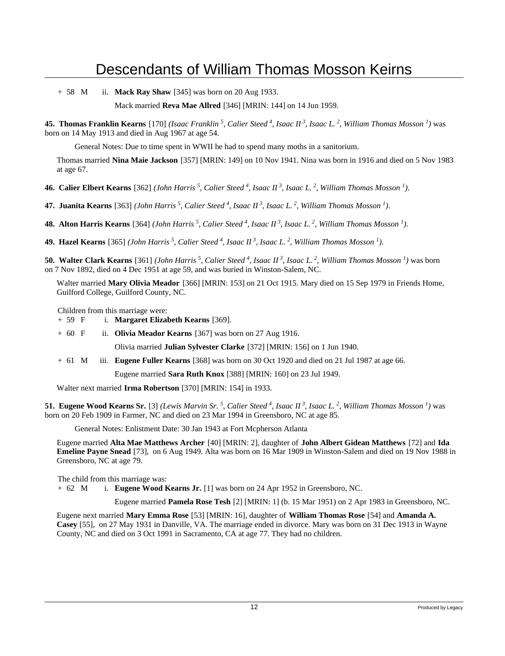+ 58 M ii. **Mack Ray Shaw** [345] was born on 20 Aug 1933.

Mack married **Reva Mae Allred** [346] [MRIN: 144] on 14 Jun 1959.

**45. Thomas Franklin Kearns** [170] *(Isaac Franklin<sup>5</sup>, Calier Steed<sup>4</sup>, Isaac II<sup>3</sup>, Isaac L.<sup>2</sup>, William Thomas Mosson<sup>1</sup>)* was born on 14 May 1913 and died in Aug 1967 at age 54.

General Notes: Due to time spent in WWII he had to spend many moths in a sanitorium.

Thomas married **Nina Maie Jackson** [357] [MRIN: 149] on 10 Nov 1941. Nina was born in 1916 and died on 5 Nov 1983 at age 67.

**46. Calier Elbert Kearns** [362] *(John Harris<sup>5</sup>, Calier Steed<sup>4</sup>, Isaac II<sup>3</sup>, Isaac L.<sup>2</sup>, William Thomas Mosson<sup>1</sup>)*.

**47. Juanita Kearns** [363] *(John Harris<sup>5</sup>, Calier Steed<sup>4</sup>, Isaac II<sup>3</sup>, Isaac L.<sup>2</sup>, William Thomas Mosson<sup>1</sup>)*.

**48. Alton Harris Kearns** [364] *(John Harris<sup>5</sup>, Calier Steed<sup>4</sup>, Isaac II<sup>3</sup>, Isaac L.<sup>2</sup>, William Thomas Mosson<sup>1</sup>)*.

**49. Hazel Kearns** [365] *(John Harris<sup>5</sup>, Calier Steed<sup>4</sup>, Isaac II<sup>3</sup>, Isaac L.<sup>2</sup>, William Thomas Mosson<sup>1</sup>)*.

**50. Walter Clark Kearns** [361] *(John Harris<sup>5</sup>, Calier Steed<sup>4</sup>, Isaac II<sup>3</sup>, Isaac L.<sup>2</sup>, William Thomas Mosson<sup>1</sup>)* was born on 7 Nov 1892, died on 4 Dec 1951 at age 59, and was buried in Winston-Salem, NC.

Walter married **Mary Olivia Meador** [366] [MRIN: 153] on 21 Oct 1915. Mary died on 15 Sep 1979 in Friends Home, Guilford College, Guilford County, NC.

Children from this marriage were:

+ 59 F i. **Margaret Elizabeth Kearns** [369].

+ 60 F ii. **Olivia Meador Kearns** [367] was born on 27 Aug 1916.

Olivia married **Julian Sylvester Clarke** [372] [MRIN: 156] on 1 Jun 1940.

+ 61 M iii. **Eugene Fuller Kearns** [368] was born on 30 Oct 1920 and died on 21 Jul 1987 at age 66.

Eugene married **Sara Ruth Knox** [388] [MRIN: 160] on 23 Jul 1949.

Walter next married **Irma Robertson** [370] [MRIN: 154] in 1933.

**51. Eugene Wood Kearns Sr.** [3] *(Lewis Marvin Sr.<sup>5</sup>, Calier Steed<sup>4</sup>, Isaac II<sup>3</sup>, Isaac L.<sup>2</sup>, William Thomas Mosson<sup>1</sup>)* was born on 20 Feb 1909 in Farmer, NC and died on 23 Mar 1994 in Greensboro, NC at age 85.

General Notes: Enlistment Date: 30 Jan 1943 at Fort Mcpherson Atlanta

Eugene married **Alta Mae Matthews Archer** [40] [MRIN: 2], daughter of **John Albert Gidean Matthews** [72] and **Ida Emeline Payne Snead** [73], on 6 Aug 1949. Alta was born on 16 Mar 1909 in Winston-Salem and died on 19 Nov 1988 in Greensboro, NC at age 79.

The child from this marriage was:

+ 62 M i. **Eugene Wood Kearns Jr.** [1] was born on 24 Apr 1952 in Greensboro, NC.

Eugene married **Pamela Rose Tesh** [2] [MRIN: 1] (b. 15 Mar 1951) on 2 Apr 1983 in Greensboro, NC.

Eugene next married **Mary Emma Rose** [53] [MRIN: 16], daughter of **William Thomas Rose** [54] and **Amanda A. Casey** [55], on 27 May 1931 in Danville, VA. The marriage ended in divorce. Mary was born on 31 Dec 1913 in Wayne County, NC and died on 3 Oct 1991 in Sacramento, CA at age 77. They had no children.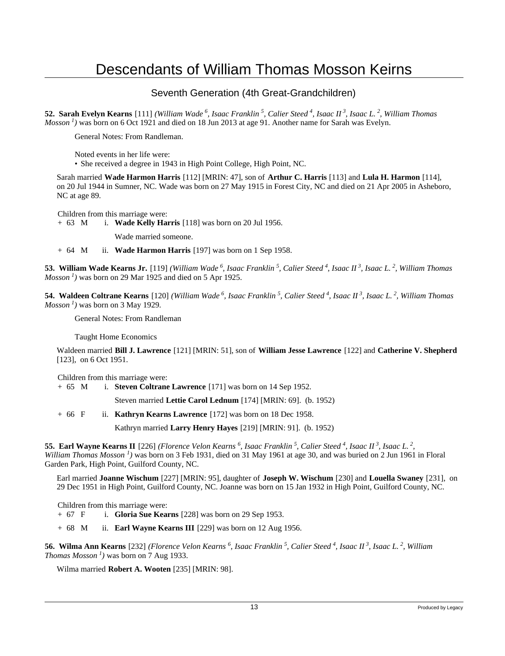#### Seventh Generation (4th Great-Grandchildren)

**52. Sarah Evelyn Kearns** [111] *(William Wade<sup>6</sup>, Isaac Franklin<sup>5</sup>, Calier Steed<sup>4</sup>, Isaac II<sup>3</sup>, Isaac L.<sup>2</sup>, William Thomas Mosson<sup>1</sup>)* was born on 6 Oct 1921 and died on 18 Jun 2013 at age 91. Another name for Sarah was Evelyn.

General Notes: From Randleman.

Noted events in her life were:

• She received a degree in 1943 in High Point College, High Point, NC.

Sarah married **Wade Harmon Harris** [112] [MRIN: 47], son of **Arthur C. Harris** [113] and **Lula H. Harmon** [114], on 20 Jul 1944 in Sumner, NC. Wade was born on 27 May 1915 in Forest City, NC and died on 21 Apr 2005 in Asheboro, NC at age 89.

Children from this marriage were:

+ 63 M i. **Wade Kelly Harris** [118] was born on 20 Jul 1956.

Wade married someone.

+ 64 M ii. **Wade Harmon Harris** [197] was born on 1 Sep 1958.

**53. William Wade Kearns Jr.** [119] *(William Wade<sup>6</sup>, Isaac Franklin<sup>5</sup>, Calier Steed<sup>4</sup>, Isaac II<sup>3</sup>, Isaac L.<sup>2</sup>, William Thomas Mosson*<sup>1</sup>) was born on 29 Mar 1925 and died on 5 Apr 1925.

**54. Waldeen Coltrane Kearns** [120] *(William Wade<sup>6</sup>, Isaac Franklin<sup>5</sup>, Calier Steed<sup>4</sup>, Isaac II<sup>3</sup>, Isaac L.<sup>2</sup>, William Thomas Mosson<sup>1</sup>)* was born on 3 May 1929.

General Notes: From Randleman

Taught Home Economics

Waldeen married **Bill J. Lawrence** [121] [MRIN: 51], son of **William Jesse Lawrence** [122] and **Catherine V. Shepherd** [123], on 6 Oct 1951.

Children from this marriage were:

+ 65 M i. **Steven Coltrane Lawrence** [171] was born on 14 Sep 1952.

Steven married **Lettie Carol Lednum** [174] [MRIN: 69]. (b. 1952)

+ 66 F ii. **Kathryn Kearns Lawrence** [172] was born on 18 Dec 1958.

Kathryn married **Larry Henry Hayes** [219] [MRIN: 91]. (b. 1952)

**55. Earl Wayne Kearns II** [226] *(Florence Velon Kearns<sup>6</sup>, Isaac Franklin<sup>5</sup>, Calier Steed<sup>4</sup>, Isaac II<sup>3</sup>, Isaac L.<sup>2</sup> , William Thomas Mosson<sup>1</sup>)* was born on 3 Feb 1931, died on 31 May 1961 at age 30, and was buried on 2 Jun 1961 in Floral Garden Park, High Point, Guilford County, NC.

Earl married **Joanne Wischum** [227] [MRIN: 95], daughter of **Joseph W. Wischum** [230] and **Louella Swaney** [231], on 29 Dec 1951 in High Point, Guilford County, NC. Joanne was born on 15 Jan 1932 in High Point, Guilford County, NC.

Children from this marriage were:

+ 67 F i. **Gloria Sue Kearns** [228] was born on 29 Sep 1953.

+ 68 M ii. **Earl Wayne Kearns III** [229] was born on 12 Aug 1956.

**56. Wilma Ann Kearns** [232] *(Florence Velon Kearns<sup>6</sup>, Isaac Franklin<sup>5</sup>, Calier Steed<sup>4</sup>, Isaac II<sup>3</sup>, Isaac L.<sup>2</sup>, William Thomas Mosson<sup>1</sup>)* was born on 7 Aug 1933.

Wilma married **Robert A. Wooten** [235] [MRIN: 98].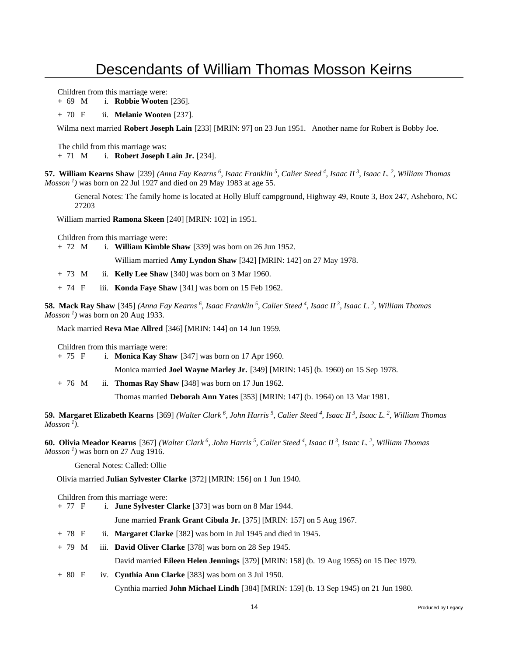Children from this marriage were:

+ 69 M i. **Robbie Wooten** [236].

+ 70 F ii. **Melanie Wooten** [237].

Wilma next married **Robert Joseph Lain** [233] [MRIN: 97] on 23 Jun 1951. Another name for Robert is Bobby Joe.

The child from this marriage was:

+ 71 M i. **Robert Joseph Lain Jr.** [234].

**57. William Kearns Shaw** [239] *(Anna Fay Kearns<sup>6</sup>, Isaac Franklin<sup>5</sup>, Calier Steed<sup>4</sup>, Isaac II<sup>3</sup>, Isaac L.<sup>2</sup>, William Thomas Mosson*<sup>1</sup>) was born on 22 Jul 1927 and died on 29 May 1983 at age 55.

General Notes: The family home is located at Holly Bluff campground, Highway 49, Route 3, Box 247, Asheboro, NC 27203

William married **Ramona Skeen** [240] [MRIN: 102] in 1951.

Children from this marriage were:

+ 72 M i. **William Kimble Shaw** [339] was born on 26 Jun 1952.

William married **Amy Lyndon Shaw** [342] [MRIN: 142] on 27 May 1978.

+ 73 M ii. **Kelly Lee Shaw** [340] was born on 3 Mar 1960.

+ 74 F iii. **Konda Faye Shaw** [341] was born on 15 Feb 1962.

**58. Mack Ray Shaw** [345] *(Anna Fay Kearns<sup>6</sup>, Isaac Franklin<sup>5</sup>, Calier Steed<sup>4</sup>, Isaac II<sup>3</sup>, Isaac L.<sup>2</sup>, William Thomas Mosson*<sup>1</sup>) was born on 20 Aug 1933.

Mack married **Reva Mae Allred** [346] [MRIN: 144] on 14 Jun 1959.

Children from this marriage were:

+ 75 F i. **Monica Kay Shaw** [347] was born on 17 Apr 1960.

Monica married **Joel Wayne Marley Jr.** [349] [MRIN: 145] (b. 1960) on 15 Sep 1978.

+ 76 M ii. **Thomas Ray Shaw** [348] was born on 17 Jun 1962.

Thomas married **Deborah Ann Yates** [353] [MRIN: 147] (b. 1964) on 13 Mar 1981.

**59. Margaret Elizabeth Kearns** [369] *(Walter Clark<sup>6</sup>, John Harris<sup>5</sup>, Calier Steed<sup>4</sup>, Isaac II<sup>3</sup>, Isaac L.<sup>2</sup>, William Thomas*  $Mosson<sup>1</sup>$ *)*.

**60. Olivia Meador Kearns** [367] *(Walter Clark<sup>6</sup>, John Harris<sup>5</sup>, Calier Steed<sup>4</sup>, Isaac II<sup>3</sup>, Isaac L.<sup>2</sup>, William Thomas Mosson<sup>1</sup>)* was born on 27 Aug 1916.

General Notes: Called: Ollie

Olivia married **Julian Sylvester Clarke** [372] [MRIN: 156] on 1 Jun 1940.

Children from this marriage were: + 77 F i. **June Sylvester Clarke** [373] was born on 8 Mar 1944. June married **Frank Grant Cibula Jr.** [375] [MRIN: 157] on 5 Aug 1967. + 78 F ii. **Margaret Clarke** [382] was born in Jul 1945 and died in 1945. + 79 M iii. **David Oliver Clarke** [378] was born on 28 Sep 1945. David married **Eileen Helen Jennings** [379] [MRIN: 158] (b. 19 Aug 1955) on 15 Dec 1979. + 80 F iv. **Cynthia Ann Clarke** [383] was born on 3 Jul 1950. Cynthia married **John Michael Lindh** [384] [MRIN: 159] (b. 13 Sep 1945) on 21 Jun 1980.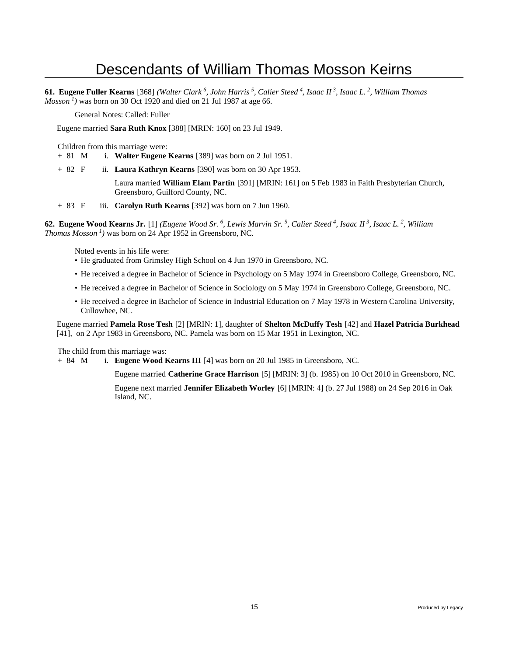**61. Eugene Fuller Kearns** [368] *(Walter Clark<sup>6</sup>, John Harris<sup>5</sup>, Calier Steed<sup>4</sup>, Isaac II<sup>3</sup>, Isaac L.<sup>2</sup>, William Thomas Mosson<sup>1</sup>*) was born on 30 Oct 1920 and died on 21 Jul 1987 at age 66.

General Notes: Called: Fuller

Eugene married **Sara Ruth Knox** [388] [MRIN: 160] on 23 Jul 1949.

Children from this marriage were:

- + 81 M i. **Walter Eugene Kearns** [389] was born on 2 Jul 1951.
- + 82 F ii. **Laura Kathryn Kearns** [390] was born on 30 Apr 1953.

Laura married **William Elam Partin** [391] [MRIN: 161] on 5 Feb 1983 in Faith Presbyterian Church, Greensboro, Guilford County, NC.

+ 83 F iii. **Carolyn Ruth Kearns** [392] was born on 7 Jun 1960.

**62. Eugene Wood Kearns Jr.** [1] *(Eugene Wood Sr.<sup>6</sup>, Lewis Marvin Sr.<sup>5</sup>, Calier Steed<sup>4</sup>, Isaac II<sup>3</sup>, Isaac L.<sup>2</sup>, William Thomas Mosson<sup>1</sup>)* was born on 24 Apr 1952 in Greensboro, NC.

Noted events in his life were:

- He graduated from Grimsley High School on 4 Jun 1970 in Greensboro, NC.
- He received a degree in Bachelor of Science in Psychology on 5 May 1974 in Greensboro College, Greensboro, NC.
- He received a degree in Bachelor of Science in Sociology on 5 May 1974 in Greensboro College, Greensboro, NC.
- He received a degree in Bachelor of Science in Industrial Education on 7 May 1978 in Western Carolina University, Cullowhee, NC.

Eugene married **Pamela Rose Tesh** [2] [MRIN: 1], daughter of **Shelton McDuffy Tesh** [42] and **Hazel Patricia Burkhead** [41], on 2 Apr 1983 in Greensboro, NC. Pamela was born on 15 Mar 1951 in Lexington, NC.

The child from this marriage was:

+ 84 M i. **Eugene Wood Kearns III** [4] was born on 20 Jul 1985 in Greensboro, NC.

Eugene married **Catherine Grace Harrison** [5] [MRIN: 3] (b. 1985) on 10 Oct 2010 in Greensboro, NC.

Eugene next married **Jennifer Elizabeth Worley** [6] [MRIN: 4] (b. 27 Jul 1988) on 24 Sep 2016 in Oak Island, NC.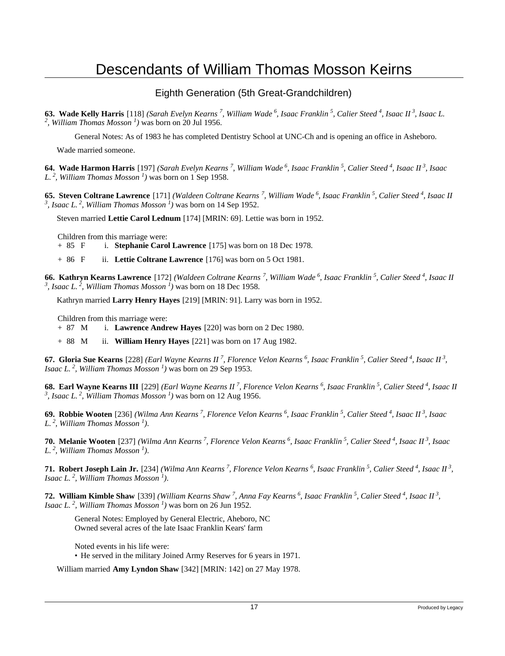#### Eighth Generation (5th Great-Grandchildren)

**63. Wade Kelly Harris** [118] *(Sarah Evelyn Kearns<sup>7</sup>, William Wade<sup>6</sup>, Isaac Franklin<sup>5</sup>, Calier Steed<sup>4</sup>, Isaac II<sup>3</sup>, Isaac L. 2 , William Thomas Mosson<sup>1</sup>)* was born on 20 Jul 1956.

General Notes: As of 1983 he has completed Dentistry School at UNC-Ch and is opening an office in Asheboro.

Wade married someone.

**64. Wade Harmon Harris** [197] *(Sarah Evelyn Kearns<sup>7</sup>, William Wade<sup>6</sup>, Isaac Franklin<sup>5</sup>, Calier Steed<sup>4</sup>, Isaac II<sup>3</sup>, Isaac L.<sup>2</sup>, William Thomas Mosson<sup>1</sup>)* was born on 1 Sep 1958.

**65. Steven Coltrane Lawrence** [171] *(Waldeen Coltrane Kearns<sup>7</sup>, William Wade<sup>6</sup>, Isaac Franklin<sup>5</sup>, Calier Steed<sup>4</sup>, Isaac II 3 , Isaac L.<sup>2</sup>, William Thomas Mosson<sup>1</sup>)* was born on 14 Sep 1952.

Steven married **Lettie Carol Lednum** [174] [MRIN: 69]. Lettie was born in 1952.

Children from this marriage were:

+ 85 F i. **Stephanie Carol Lawrence** [175] was born on 18 Dec 1978.

+ 86 F ii. **Lettie Coltrane Lawrence** [176] was born on 5 Oct 1981.

**66. Kathryn Kearns Lawrence** [172] *(Waldeen Coltrane Kearns<sup>7</sup>, William Wade<sup>6</sup>, Isaac Franklin<sup>5</sup>, Calier Steed<sup>4</sup>, Isaac II 3 , Isaac L.<sup>2</sup>, William Thomas Mosson<sup>1</sup>)* was born on 18 Dec 1958.

Kathryn married **Larry Henry Hayes** [219] [MRIN: 91]. Larry was born in 1952.

Children from this marriage were:

+ 87 M i. **Lawrence Andrew Hayes** [220] was born on 2 Dec 1980.

+ 88 M ii. **William Henry Hayes** [221] was born on 17 Aug 1982.

**67. Gloria Sue Kearns** [228] *(Earl Wayne Kearns II<sup>7</sup>, Florence Velon Kearns<sup>6</sup>, Isaac Franklin<sup>5</sup>, Calier Steed<sup>4</sup>, Isaac II<sup>3</sup> , Isaac L.<sup>2</sup>, William Thomas Mosson<sup>1</sup>)* was born on 29 Sep 1953.

**68. Earl Wayne Kearns III** [229] *(Earl Wayne Kearns II<sup>7</sup>, Florence Velon Kearns<sup>6</sup>, Isaac Franklin<sup>5</sup>, Calier Steed<sup>4</sup>, Isaac II 3 , Isaac L.<sup>2</sup>, William Thomas Mosson<sup>1</sup>)* was born on 12 Aug 1956.

**69. Robbie Wooten** [236] *(Wilma Ann Kearns<sup>7</sup>, Florence Velon Kearns<sup>6</sup>, Isaac Franklin<sup>5</sup>, Calier Steed<sup>4</sup>, Isaac II<sup>3</sup>, Isaac L.<sup>2</sup>, William Thomas Mosson<sup>1</sup>)*.

**70. Melanie Wooten** [237] *(Wilma Ann Kearns<sup>7</sup>, Florence Velon Kearns<sup>6</sup>, Isaac Franklin<sup>5</sup>, Calier Steed<sup>4</sup>, Isaac II<sup>3</sup>, Isaac L.<sup>2</sup>, William Thomas Mosson<sup>1</sup>)*.

**71. Robert Joseph Lain Jr.** [234] *(Wilma Ann Kearns<sup>7</sup>, Florence Velon Kearns<sup>6</sup>, Isaac Franklin<sup>5</sup>, Calier Steed<sup>4</sup>, Isaac II<sup>3</sup> , Isaac L.<sup>2</sup>, William Thomas Mosson<sup>1</sup>)*.

**72. William Kimble Shaw** [339] *(William Kearns Shaw<sup>7</sup>, Anna Fay Kearns<sup>6</sup>, Isaac Franklin<sup>5</sup>, Calier Steed<sup>4</sup>, Isaac II<sup>3</sup> , Isaac L.<sup>2</sup>, William Thomas Mosson<sup>1</sup>)* was born on 26 Jun 1952.

General Notes: Employed by General Electric, Aheboro, NC Owned several acres of the late Isaac Franklin Kears' farm

Noted events in his life were:

• He served in the military Joined Army Reserves for 6 years in 1971.

William married **Amy Lyndon Shaw** [342] [MRIN: 142] on 27 May 1978.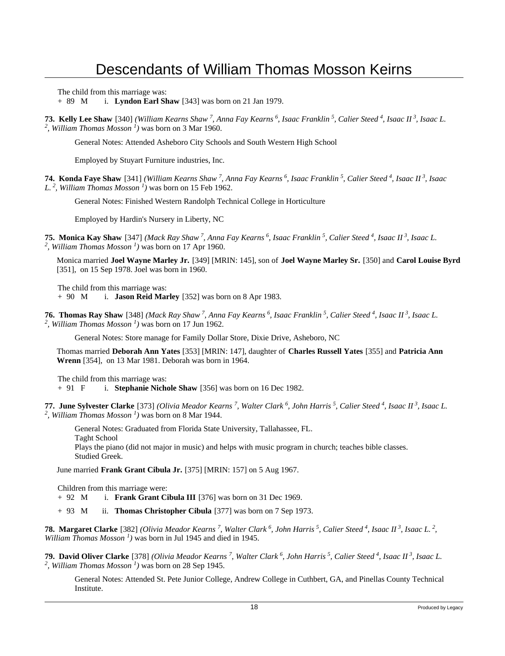The child from this marriage was:

+ 89 M i. **Lyndon Earl Shaw** [343] was born on 21 Jan 1979.

**73. Kelly Lee Shaw** [340] *(William Kearns Shaw<sup>7</sup>, Anna Fay Kearns<sup>6</sup>, Isaac Franklin<sup>5</sup>, Calier Steed<sup>4</sup>, Isaac II<sup>3</sup>, Isaac L. 2 , William Thomas Mosson<sup>1</sup>)* was born on 3 Mar 1960.

General Notes: Attended Asheboro City Schools and South Western High School

Employed by Stuyart Furniture industries, Inc.

**74. Konda Faye Shaw** [341] *(William Kearns Shaw<sup>7</sup>, Anna Fay Kearns<sup>6</sup>, Isaac Franklin<sup>5</sup>, Calier Steed<sup>4</sup>, Isaac II<sup>3</sup>, Isaac L.<sup>2</sup>, William Thomas Mosson<sup>1</sup>)* was born on 15 Feb 1962.

General Notes: Finished Western Randolph Technical College in Horticulture

Employed by Hardin's Nursery in Liberty, NC

**75. Monica Kay Shaw** [347] *(Mack Ray Shaw<sup>7</sup>, Anna Fay Kearns<sup>6</sup>, Isaac Franklin<sup>5</sup>, Calier Steed<sup>4</sup>, Isaac II<sup>3</sup>, Isaac L. 2 , William Thomas Mosson<sup>1</sup>)* was born on 17 Apr 1960.

Monica married **Joel Wayne Marley Jr.** [349] [MRIN: 145], son of **Joel Wayne Marley Sr.** [350] and **Carol Louise Byrd** [351], on 15 Sep 1978. Joel was born in 1960.

The child from this marriage was:

+ 90 M i. **Jason Reid Marley** [352] was born on 8 Apr 1983.

**76. Thomas Ray Shaw** [348] *(Mack Ray Shaw<sup>7</sup>, Anna Fay Kearns<sup>6</sup>, Isaac Franklin<sup>5</sup>, Calier Steed<sup>4</sup>, Isaac II<sup>3</sup>, Isaac L. 2 , William Thomas Mosson<sup>1</sup>)* was born on 17 Jun 1962.

General Notes: Store manage for Family Dollar Store, Dixie Drive, Asheboro, NC

Thomas married **Deborah Ann Yates** [353] [MRIN: 147], daughter of **Charles Russell Yates** [355] and **Patricia Ann Wrenn** [354], on 13 Mar 1981. Deborah was born in 1964.

The child from this marriage was:<br>+ 91  $\overline{F}$  i. **Stephanie Nicheller** 

i. **Stephanie Nichole Shaw** [356] was born on 16 Dec 1982.

**77. June Sylvester Clarke** [373] *(Olivia Meador Kearns<sup>7</sup>, Walter Clark<sup>6</sup>, John Harris<sup>5</sup>, Calier Steed<sup>4</sup>, Isaac II<sup>3</sup>, Isaac L. 2 , William Thomas Mosson<sup>1</sup>)* was born on 8 Mar 1944.

General Notes: Graduated from Florida State University, Tallahassee, FL.

Taght School

Plays the piano (did not major in music) and helps with music program in church; teaches bible classes. Studied Greek.

June married **Frank Grant Cibula Jr.** [375] [MRIN: 157] on 5 Aug 1967.

Children from this marriage were:

+ 92 M i. **Frank Grant Cibula III** [376] was born on 31 Dec 1969.

+ 93 M ii. **Thomas Christopher Cibula** [377] was born on 7 Sep 1973.

**78. Margaret Clarke** [382] *(Olivia Meador Kearns<sup>7</sup>, Walter Clark<sup>6</sup>, John Harris<sup>5</sup>, Calier Steed<sup>4</sup>, Isaac II<sup>3</sup>, Isaac L.<sup>2</sup> , William Thomas Mosson<sup>1</sup>)* was born in Jul 1945 and died in 1945.

**79. David Oliver Clarke** [378] *(Olivia Meador Kearns<sup>7</sup>, Walter Clark<sup>6</sup>, John Harris<sup>5</sup>, Calier Steed<sup>4</sup>, Isaac II<sup>3</sup>, Isaac L. 2 , William Thomas Mosson<sup>1</sup>)* was born on 28 Sep 1945.

General Notes: Attended St. Pete Junior College, Andrew College in Cuthbert, GA, and Pinellas County Technical Institute.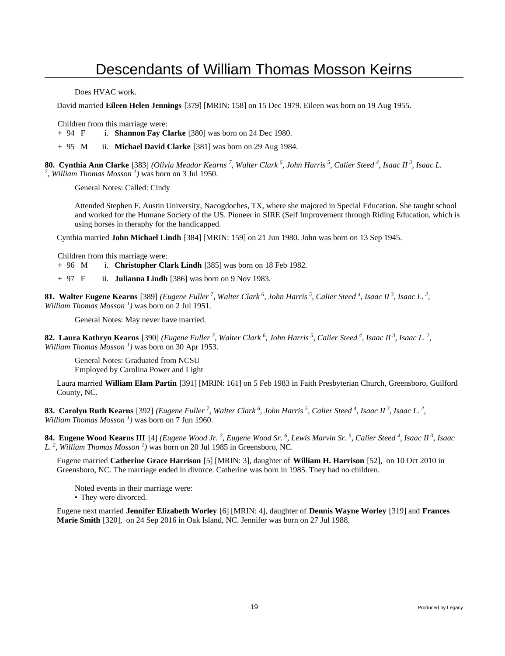Does HVAC work.

David married **Eileen Helen Jennings** [379] [MRIN: 158] on 15 Dec 1979. Eileen was born on 19 Aug 1955.

Children from this marriage were:

+ 94 F i. **Shannon Fay Clarke** [380] was born on 24 Dec 1980.

+ 95 M ii. **Michael David Clarke** [381] was born on 29 Aug 1984.

**80. Cynthia Ann Clarke** [383] *(Olivia Meador Kearns<sup>7</sup>, Walter Clark<sup>6</sup>, John Harris<sup>5</sup>, Calier Steed<sup>4</sup>, Isaac II<sup>3</sup>, Isaac L. 2 , William Thomas Mosson<sup>1</sup>)* was born on 3 Jul 1950.

General Notes: Called: Cindy

Attended Stephen F. Austin University, Nacogdoches, TX, where she majored in Special Education. She taught school and worked for the Humane Society of the US. Pioneer in SIRE (Self Improvement through Riding Education, which is using horses in theraphy for the handicapped.

Cynthia married **John Michael Lindh** [384] [MRIN: 159] on 21 Jun 1980. John was born on 13 Sep 1945.

Children from this marriage were:

+ 96 M i. **Christopher Clark Lindh** [385] was born on 18 Feb 1982.

+ 97 F ii. **Julianna Lindh** [386] was born on 9 Nov 1983.

**81. Walter Eugene Kearns** [389] *(Eugene Fuller<sup>7</sup>, Walter Clark<sup>6</sup>, John Harris<sup>5</sup>, Calier Steed<sup>4</sup>, Isaac II<sup>3</sup>, Isaac L.<sup>2</sup> , William Thomas Mosson<sup>1</sup>)* was born on 2 Jul 1951.

General Notes: May never have married.

**82. Laura Kathryn Kearns** [390] *(Eugene Fuller<sup>7</sup>, Walter Clark<sup>6</sup>, John Harris<sup>5</sup>, Calier Steed<sup>4</sup>, Isaac II<sup>3</sup>, Isaac L.<sup>2</sup> , William Thomas Mosson<sup>1</sup>)* was born on 30 Apr 1953.

General Notes: Graduated from NCSU Employed by Carolina Power and Light

Laura married **William Elam Partin** [391] [MRIN: 161] on 5 Feb 1983 in Faith Presbyterian Church, Greensboro, Guilford County, NC.

**83. Carolyn Ruth Kearns** [392] *(Eugene Fuller<sup>7</sup>, Walter Clark<sup>6</sup>, John Harris<sup>5</sup>, Calier Steed<sup>4</sup>, Isaac II<sup>3</sup>, Isaac L.<sup>2</sup> , William Thomas Mosson<sup>1</sup>)* was born on 7 Jun 1960.

**84. Eugene Wood Kearns III** [4] *(Eugene Wood Jr.<sup>7</sup>, Eugene Wood Sr.<sup>6</sup>, Lewis Marvin Sr.<sup>5</sup>, Calier Steed<sup>4</sup>, Isaac II<sup>3</sup>, Isaac L.<sup>2</sup>, William Thomas Mosson<sup>1</sup>)* was born on 20 Jul 1985 in Greensboro, NC.

Eugene married **Catherine Grace Harrison** [5] [MRIN: 3], daughter of **William H. Harrison** [52], on 10 Oct 2010 in Greensboro, NC. The marriage ended in divorce. Catherine was born in 1985. They had no children.

Noted events in their marriage were:

• They were divorced.

Eugene next married **Jennifer Elizabeth Worley** [6] [MRIN: 4], daughter of **Dennis Wayne Worley** [319] and **Frances Marie Smith** [320], on 24 Sep 2016 in Oak Island, NC. Jennifer was born on 27 Jul 1988.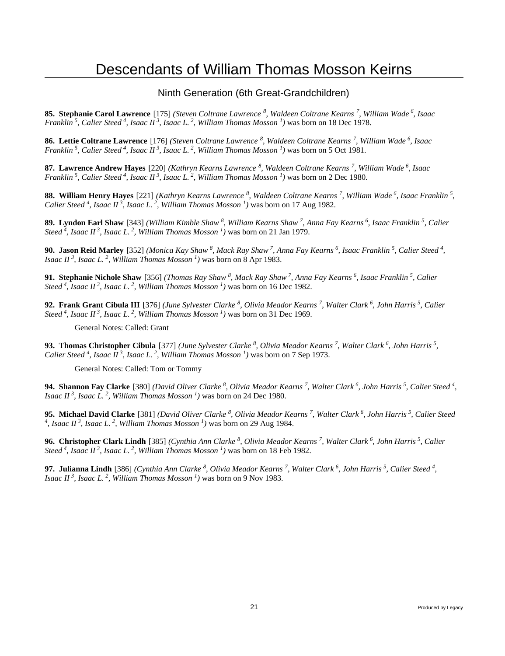#### Ninth Generation (6th Great-Grandchildren)

**85. Stephanie Carol Lawrence** [175] *(Steven Coltrane Lawrence<sup>8</sup>, Waldeen Coltrane Kearns<sup>7</sup>, William Wade<sup>6</sup>, Isaac Franklin<sup>5</sup>, Calier Steed<sup>4</sup>, Isaac II<sup>3</sup>, Isaac L.<sup>2</sup>, William Thomas Mosson<sup>1</sup>)* was born on 18 Dec 1978.

**86. Lettie Coltrane Lawrence** [176] *(Steven Coltrane Lawrence<sup>8</sup>, Waldeen Coltrane Kearns<sup>7</sup>, William Wade<sup>6</sup>, Isaac Franklin<sup>5</sup>, Calier Steed<sup>4</sup>, Isaac II<sup>3</sup>, Isaac L.<sup>2</sup>, William Thomas Mosson<sup>1</sup>)* was born on 5 Oct 1981.

**87. Lawrence Andrew Hayes** [220] *(Kathryn Kearns Lawrence<sup>8</sup>, Waldeen Coltrane Kearns<sup>7</sup>, William Wade<sup>6</sup>, Isaac Franklin<sup>5</sup>, Calier Steed<sup>4</sup>, Isaac II<sup>3</sup>, Isaac L.<sup>2</sup>, William Thomas Mosson<sup>1</sup>)* was born on 2 Dec 1980.

**88. William Henry Hayes** [221] *(Kathryn Kearns Lawrence<sup>8</sup>, Waldeen Coltrane Kearns<sup>7</sup>, William Wade<sup>6</sup>, Isaac Franklin<sup>5</sup> , Calier Steed<sup>4</sup>, Isaac II<sup>3</sup>, Isaac L.<sup>2</sup>, William Thomas Mosson<sup>1</sup>)* was born on 17 Aug 1982.

**89. Lyndon Earl Shaw** [343] *(William Kimble Shaw<sup>8</sup>, William Kearns Shaw<sup>7</sup>, Anna Fay Kearns<sup>6</sup>, Isaac Franklin<sup>5</sup>, Calier Steed<sup>4</sup>, Isaac II<sup>3</sup>, Isaac L.<sup>2</sup>, William Thomas Mosson<sup>1</sup>)* was born on 21 Jan 1979.

**90. Jason Reid Marley** [352] *(Monica Kay Shaw<sup>8</sup>, Mack Ray Shaw<sup>7</sup>, Anna Fay Kearns<sup>6</sup>, Isaac Franklin<sup>5</sup>, Calier Steed<sup>4</sup> , Isaac II<sup>3</sup>, Isaac L.<sup>2</sup>, William Thomas Mosson<sup>1</sup>)* was born on 8 Apr 1983.

**91. Stephanie Nichole Shaw** [356] *(Thomas Ray Shaw<sup>8</sup>, Mack Ray Shaw<sup>7</sup>, Anna Fay Kearns<sup>6</sup>, Isaac Franklin<sup>5</sup>, Calier Steed*<sup>4</sup>, *Isaac II*<sup>3</sup>, *Isaac L<sub>i</sub>*<sup>2</sup>, *William Thomas Mosson*<sup>1</sup>) was born on 16 Dec 1982.

**92. Frank Grant Cibula III** [376] *(June Sylvester Clarke<sup>8</sup>, Olivia Meador Kearns<sup>7</sup>, Walter Clark<sup>6</sup>, John Harris<sup>5</sup>, Calier Steed<sup>4</sup>, Isaac II<sup>3</sup>, Isaac L.<sup>2</sup>, William Thomas Mosson<sup>1</sup>)* was born on 31 Dec 1969.

General Notes: Called: Grant

**93. Thomas Christopher Cibula** [377] *(June Sylvester Clarke<sup>8</sup>, Olivia Meador Kearns<sup>7</sup>, Walter Clark<sup>6</sup>, John Harris<sup>5</sup> , Calier Steed<sup>4</sup>, Isaac II<sup>3</sup>, Isaac L.<sup>2</sup>, William Thomas Mosson<sup>1</sup>)* was born on 7 Sep 1973.

General Notes: Called: Tom or Tommy

**94. Shannon Fay Clarke** [380] *(David Oliver Clarke<sup>8</sup>, Olivia Meador Kearns<sup>7</sup>, Walter Clark<sup>6</sup>, John Harris<sup>5</sup>, Calier Steed<sup>4</sup> , Isaac II<sup>3</sup>, Isaac L.<sup>2</sup>, William Thomas Mosson<sup>1</sup>)* was born on 24 Dec 1980.

**95. Michael David Clarke** [381] *(David Oliver Clarke<sup>8</sup>, Olivia Meador Kearns<sup>7</sup>, Walter Clark<sup>6</sup>, John Harris<sup>5</sup>, Calier Steed 4 , Isaac II<sup>3</sup>, Isaac L.<sup>2</sup>, William Thomas Mosson<sup>1</sup>)* was born on 29 Aug 1984.

**96. Christopher Clark Lindh** [385] *(Cynthia Ann Clarke<sup>8</sup>, Olivia Meador Kearns<sup>7</sup>, Walter Clark<sup>6</sup>, John Harris<sup>5</sup>, Calier Steed<sup>4</sup>, Isaac II<sup>3</sup>, Isaac L.<sup>2</sup>, William Thomas Mosson<sup>1</sup>)* was born on 18 Feb 1982.

**97. Julianna Lindh** [386] *(Cynthia Ann Clarke<sup>8</sup>, Olivia Meador Kearns<sup>7</sup>, Walter Clark<sup>6</sup>, John Harris<sup>5</sup>, Calier Steed<sup>4</sup> , Isaac II<sup>3</sup>, Isaac L.<sup>2</sup>, William Thomas Mosson<sup>1</sup>)* was born on 9 Nov 1983.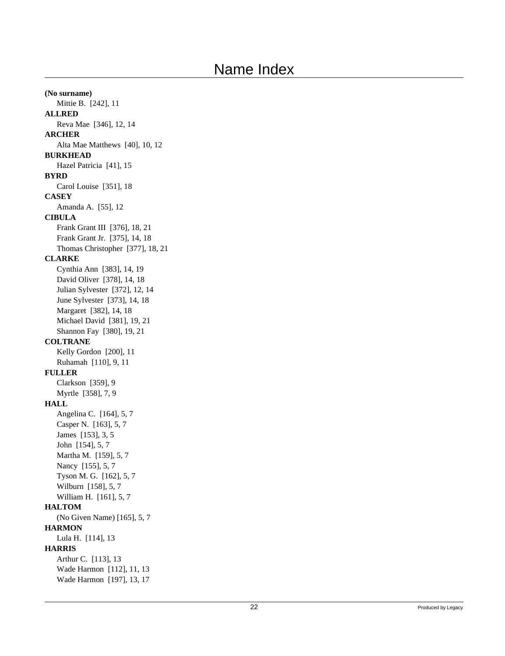**(No surname)** Mittie B. [242], 11 **ALLRED** Reva Mae [346], 12, 14 **ARCHER** Alta Mae Matthews [40], 10, 12 **BURKHEAD** Hazel Patricia [41], 15 **BYRD** Carol Louise [351], 18 **CASEY** Amanda A. [55], 12 **CIBULA** Frank Grant III [376], 18, 21 Frank Grant Jr. [375], 14, 18 Thomas Christopher [377], 18, 21 **CLARKE** Cynthia Ann [383], 14, 19 David Oliver [378], 14, 18 Julian Sylvester [372], 12, 14 June Sylvester [373], 14, 18 Margaret [382], 14, 18 Michael David [381], 19, 21 Shannon Fay [380], 19, 21 **COLTRANE** Kelly Gordon [200], 11 Ruhamah [110], 9, 11 **FULLER** Clarkson [359], 9 Myrtle [358], 7, 9 **HALL** Angelina C. [164], 5, 7 Casper N. [163], 5, 7 James [153], 3, 5 John [154], 5, 7 Martha M. [159], 5, 7 Nancy [155], 5, 7 Tyson M. G. [162], 5, 7 Wilburn [158], 5, 7 William H. [161], 5, 7 **HALTOM** (No Given Name) [165], 5, 7 **HARMON** Lula H. [114], 13 **HARRIS** Arthur C. [113], 13 Wade Harmon [112], 11, 13 Wade Harmon [197], 13, 17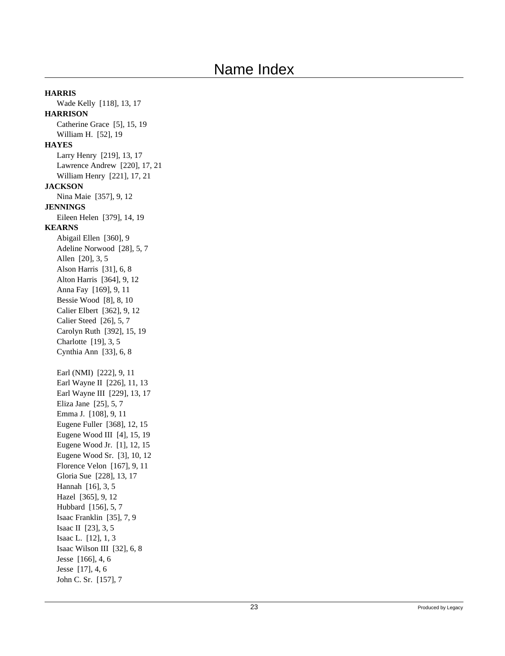**HARRIS** Wade Kelly [118], 13, 17 **HARRISON** Catherine Grace [5], 15, 19 William H. [52], 19 **HAYES** Larry Henry [219], 13, 17 Lawrence Andrew [220], 17, 21 William Henry [221], 17, 21 **JACKSON** Nina Maie [357], 9, 12 **JENNINGS** Eileen Helen [379], 14, 19 **KEARNS** Abigail Ellen [360], 9 Adeline Norwood [28], 5, 7 Allen [20], 3, 5 Alson Harris [31], 6, 8 Alton Harris [364], 9, 12 Anna Fay [169], 9, 11 Bessie Wood [8], 8, 10 Calier Elbert [362], 9, 12 Calier Steed [26], 5, 7 Carolyn Ruth [392], 15, 19 Charlotte [19], 3, 5 Cynthia Ann [33], 6, 8 Earl (NMI) [222], 9, 11 Earl Wayne II [226], 11, 13 Earl Wayne III [229], 13, 17 Eliza Jane [25], 5, 7 Emma J. [108], 9, 11 Eugene Fuller [368], 12, 15 Eugene Wood III [4], 15, 19 Eugene Wood Jr. [1], 12, 15 Eugene Wood Sr. [3], 10, 12 Florence Velon [167], 9, 11 Gloria Sue [228], 13, 17 Hannah [16], 3, 5 Hazel [365], 9, 12 Hubbard [156], 5, 7 Isaac Franklin [35], 7, 9 Isaac II [23], 3, 5 Isaac L. [12], 1, 3 Isaac Wilson III [32], 6, 8 Jesse [166], 4, 6 Jesse [17], 4, 6 John C. Sr. [157], 7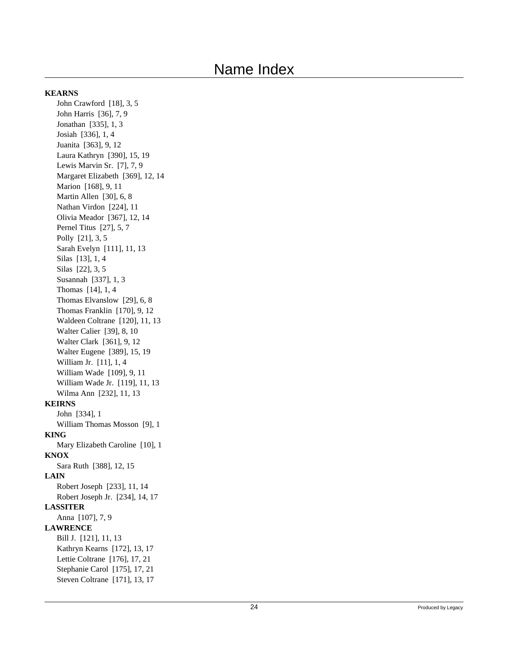#### **KEARNS**

John Crawford [18], 3, 5 John Harris [36], 7, 9 Jonathan [335], 1, 3 Josiah [336], 1, 4 Juanita [363], 9, 12 Laura Kathryn [390], 15, 19 Lewis Marvin Sr. [7], 7, 9 Margaret Elizabeth [369], 12, 14 Marion [168], 9, 11 Martin Allen [30], 6, 8 Nathan Virdon [224], 11 Olivia Meador [367], 12, 14 Pernel Titus [27], 5, 7 Polly [21], 3, 5 Sarah Evelyn [111], 11, 13 Silas [13], 1, 4 Silas [22], 3, 5 Susannah [337], 1, 3 Thomas [14], 1, 4 Thomas Elvanslow [29], 6, 8 Thomas Franklin [170], 9, 12 Waldeen Coltrane [120], 11, 13 Walter Calier [39], 8, 10 Walter Clark [361], 9, 12 Walter Eugene [389], 15, 19 William Jr. [11], 1, 4 William Wade [109], 9, 11 William Wade Jr. [119], 11, 13 Wilma Ann [232], 11, 13 **KEIRNS** John [334], 1 William Thomas Mosson [9], 1 **KING** Mary Elizabeth Caroline [10], 1 **KNOX** Sara Ruth [388], 12, 15 **LAIN** Robert Joseph [233], 11, 14 Robert Joseph Jr. [234], 14, 17 **LASSITER** Anna [107], 7, 9 **LAWRENCE** Bill J. [121], 11, 13 Kathryn Kearns [172], 13, 17 Lettie Coltrane [176], 17, 21 Stephanie Carol [175], 17, 21 Steven Coltrane [171], 13, 17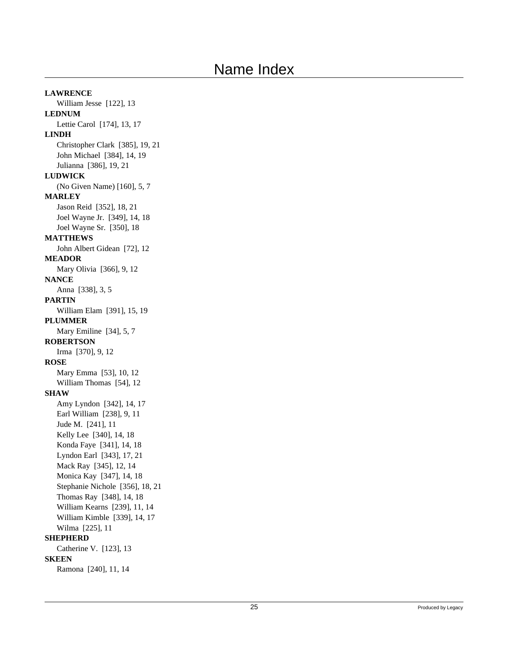**LAWRENCE** William Jesse [122], 13 **LEDNUM** Lettie Carol [174], 13, 17 **LINDH** Christopher Clark [385], 19, 21 John Michael [384], 14, 19 Julianna [386], 19, 21 **LUDWICK** (No Given Name) [160], 5, 7 **MARLEY** Jason Reid [352], 18, 21 Joel Wayne Jr. [349], 14, 18 Joel Wayne Sr. [350], 18 **MATTHEWS** John Albert Gidean [72], 12 **MEADOR** Mary Olivia [366], 9, 12 **NANCE** Anna [338], 3, 5 **PARTIN** William Elam [391], 15, 19 **PLUMMER** Mary Emiline [34], 5, 7 **ROBERTSON** Irma [370], 9, 12 **ROSE** Mary Emma [53], 10, 12 William Thomas [54], 12 **SHAW** Amy Lyndon [342], 14, 17 Earl William [238], 9, 11 Jude M. [241], 11 Kelly Lee [340], 14, 18 Konda Faye [341], 14, 18 Lyndon Earl [343], 17, 21 Mack Ray [345], 12, 14 Monica Kay [347], 14, 18 Stephanie Nichole [356], 18, 21 Thomas Ray [348], 14, 18 William Kearns [239], 11, 14 William Kimble [339], 14, 17 Wilma [225], 11 **SHEPHERD** Catherine V. [123], 13 **SKEEN** Ramona [240], 11, 14